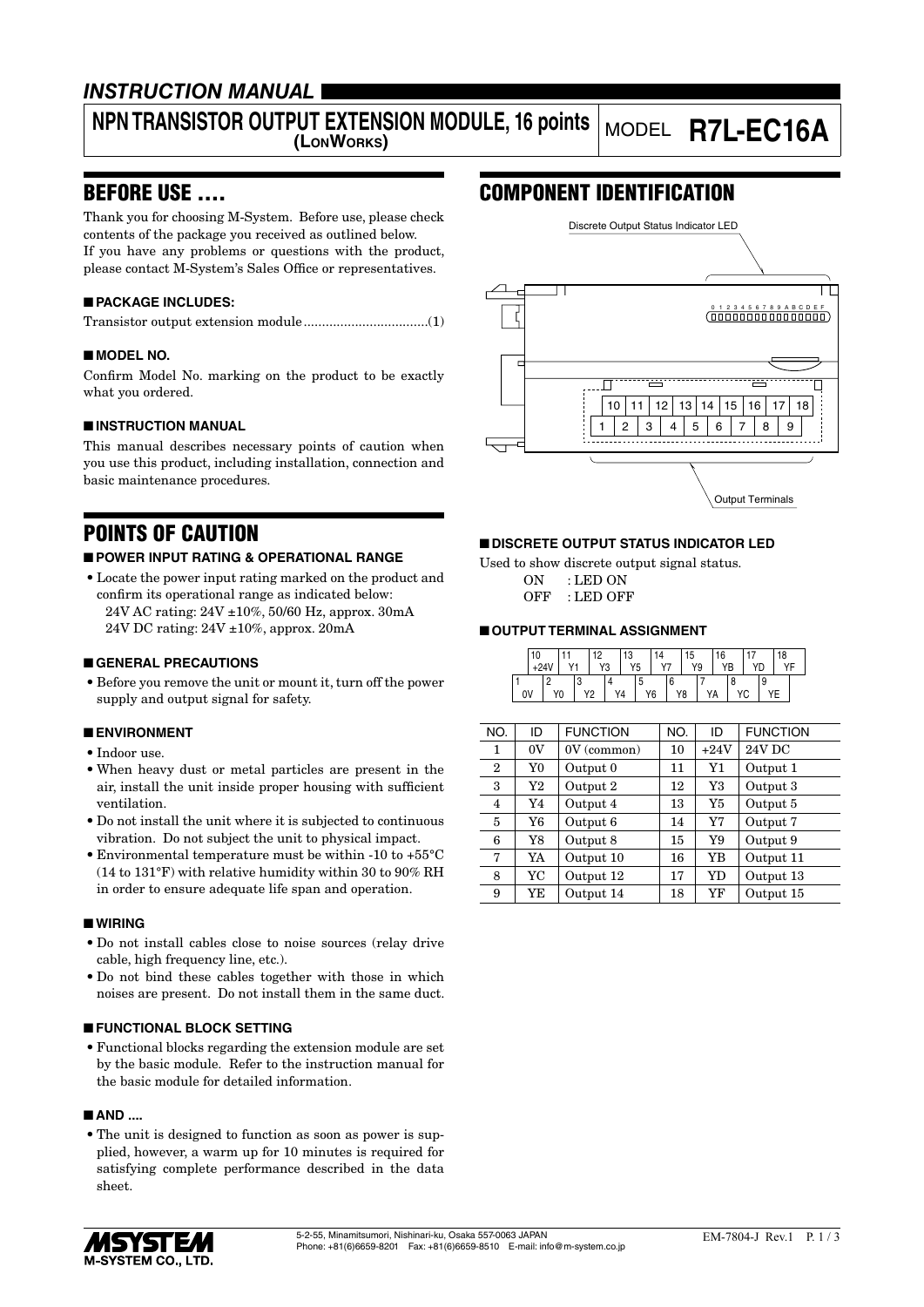### *INSTRUCTION MANUAL*

# **NPN TRANSISTOR OUTPUT EXTENSION MODULE, 16 points**

## **(LONWORKS)** MODEL **R7L-EC16A**

### BEFORE USE ....

Thank you for choosing M-System. Before use, please check contents of the package you received as outlined below. If you have any problems or questions with the product, please contact M-System's Sales Office or representatives.

#### ■ **PACKAGE INCLUDES:**

|--|--|

#### ■ **MODEL NO.**

Confirm Model No. marking on the product to be exactly what you ordered.

#### ■ **INSTRUCTION MANUAL**

This manual describes necessary points of caution when you use this product, including installation, connection and basic maintenance procedures.

### POINTS OF CAUTION

#### ■ **POWER INPUT RATING & OPERATIONAL RANGE**

• Locate the power input rating marked on the product and confirm its operational range as indicated below: 24V AC rating: 24V ±10%, 50/60 Hz, approx. 30mA 24V DC rating: 24V ±10%, approx. 20mA

#### ■ **GENERAL PRECAUTIONS**

• Before you remove the unit or mount it, turn off the power supply and output signal for safety.

#### ■ **ENVIRONMENT**

- Indoor use.
- When heavy dust or metal particles are present in the air, install the unit inside proper housing with sufficient ventilation.
- Do not install the unit where it is subjected to continuous vibration. Do not subject the unit to physical impact.
- Environmental temperature must be within -10 to +55°C (14 to 131°F) with relative humidity within 30 to 90% RH in order to ensure adequate life span and operation.

#### ■ **WIRING**

- Do not install cables close to noise sources (relay drive cable, high frequency line, etc.).
- Do not bind these cables together with those in which noises are present. Do not install them in the same duct.

#### ■ **FUNCTIONAL BLOCK SETTING**

• Functional blocks regarding the extension module are set by the basic module. Refer to the instruction manual for the basic module for detailed information.

#### ■ **AND** ....

• The unit is designed to function as soon as power is supplied, however, a warm up for 10 minutes is required for satisfying complete performance described in the data sheet.

### COMPONENT IDENTIFICATION



#### ■ **DISCRETE OUTPUT STATUS INDICATOR LED**

Used to show discrete output signal status. ON : LED ON OFF : LED OFF

#### ■ **OUTPUT TERMINAL ASSIGNMENT**

|    | 10 |    |    | ın | Y3 | 13<br>Y5 |   |    | 15 | Y9 | 16 |   |  | 18<br>VE |  |
|----|----|----|----|----|----|----------|---|----|----|----|----|---|--|----------|--|
| 0V |    | Y0 | V9 |    |    | Y4       | w | Y6 | Y8 | YA |    | o |  |          |  |

| NO.            | ID          | <b>FUNCTION</b> | NO. | ID        | <b>FUNCTION</b> |
|----------------|-------------|-----------------|-----|-----------|-----------------|
| 1              | 0V          | $0V$ (common)   | 10  | $+24V$    | 24V DC          |
| $\overline{2}$ | Y0          | Output 0        | 11  | Y1        | Output 1        |
| 3              | Y2          | Output 2        | 12  | Y3        | Output 3        |
| 4              | Y4          | Output 4        | 13  | Y5        | Output 5        |
| 5              | Y6          | Output 6        | 14  | Y7        | Output 7        |
| 6              | $_{\rm Y8}$ | Output 8        | 15  | Y9        | Output 9        |
| 7              | YA          | Output 10       | 16  | YB        | Output 11       |
| 8              | YC          | Output 12       | 17  | <b>YD</b> | Output 13       |
| 9              | YE          | Output 14       | 18  | YF        | Output 15       |

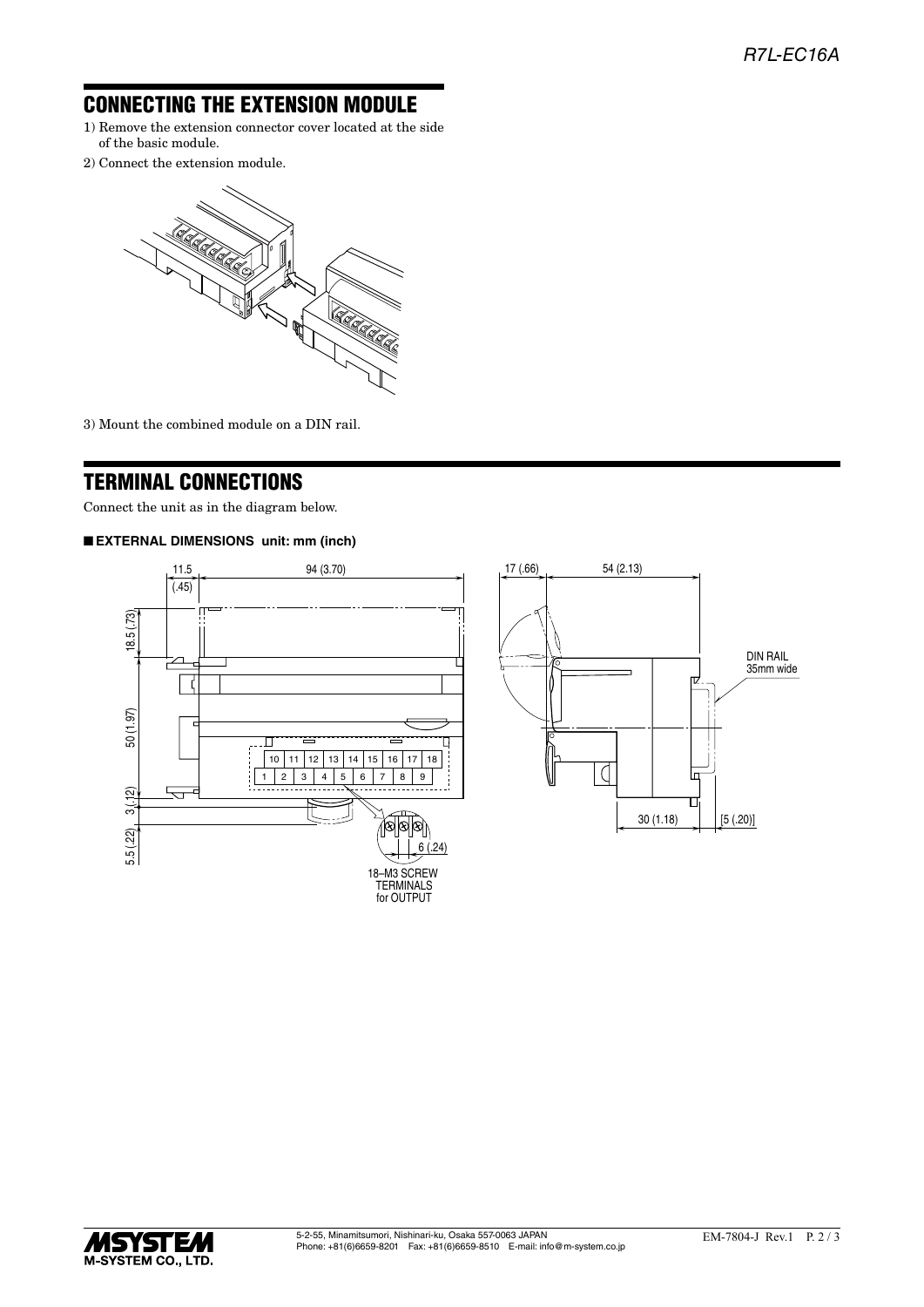### CONNECTING THE EXTENSION MODULE

- 1) Remove the extension connector cover located at the side of the basic module.
- 2) Connect the extension module.



3) Mount the combined module on a DIN rail.

### TERMINAL CONNECTIONS

Connect the unit as in the diagram below.

#### ■ **EXTERNAL DIMENSIONS unit: mm (inch)**